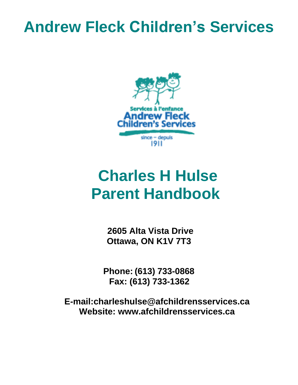# **Andrew Fleck Children's Services**



# **Charles H Hulse Parent Handbook**

**2605 Alta Vista Drive Ottawa, ON K1V 7T3**

**Phone: (613) 733-0868 Fax: (613) 733-1362**

**E-mail:charleshulse@afchildrensservices.ca Website: [www.afchildrensservices.ca](http://www.afchildrensservices.ca/)**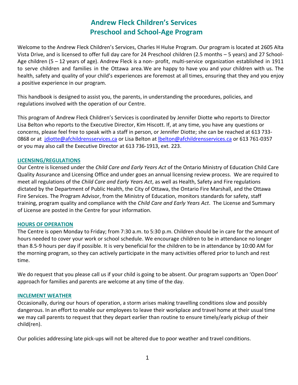# **Andrew Fleck Children's Services Preschool and School-Age Program**

Welcome to the Andrew Fleck Children's Services, Charles H Hulse Program. Our program is located at 2605 Alta Vista Drive, and is licensed to offer full day care for 24 Preschool children (2.5 months – 5 years) and 27 School-Age children (5 – 12 years of age). Andrew Fleck is a non- profit, multi-service organization established in 1911 to serve children and families in the Ottawa area.We are happy to have you and your children with us. The health, safety and quality of your child's experiences are foremost at all times, ensuring that they and you enjoy a positive experience in our program.

This handbook is designed to assist you, the parents, in understanding the procedures, policies, and regulations involved with the operation of our Centre.

This program of Andrew Fleck Children's Services is coordinated by Jennifer Diotte who reports to Director Lisa Belton who reports to the Executive Director, Kim Hiscott. If, at any time, you have any questions or concerns, please feel free to speak with a staff in person, or Jennifer Diotte; she can be reached at 613 733 0868 or at [jdiotte@afchildrensservices.ca](mailto:spemberton@afchildrensservices.ca) or Lisa Belton at Ibelton@afchildrensservices.ca or 613 761-0357 or you may also call the Executive Director at 613 736-1913, ext. 223.

#### **LICENSING/REGULATIONS**

Our Centre is licensed under the *Child Care and Early Years Act* of the Ontario Ministry of Education Child Care Quality Assurance and Licensing Office and under goes an annual licensing review process. We are required to meet all regulations of the *Child Care and Early Years Act*, as well as Health, Safety and Fire regulations dictated by the Department of Public Health, the City of Ottawa, the Ontario Fire Marshall, and the Ottawa Fire Services. The Program Advisor, from the Ministry of Education, monitors standards for safety, staff training, program quality and compliance with the *Child Care and Early Years Act*. The License and Summary of License are posted in the Centre for your information.

#### **HOURS OF OPERATION**

The Centre is open Monday to Friday; from 7:30 a.m. to 5:30 p.m. Children should be in care for the amount of hours needed to cover your work or school schedule. We encourage children to be in attendance no longer than 8.5-9 hours per day if possible. It is very beneficial for the children to be in attendance by 10:00 AM for the morning program, so they can actively participate in the many activities offered prior to lunch and rest time.

We do request that you please call us if your child is going to be absent. Our program supports an 'Open Door' approach for families and parents are welcome at any time of the day.

#### **INCLEMENT WEATHER**

Occasionally, during our hours of operation, a storm arises making travelling conditions slow and possibly dangerous. In an effort to enable our employees to leave their workplace and travel home at their usual time we may call parents to request that they depart earlier than routine to ensure timely/early pickup of their child(ren).

Our policies addressing late pick-ups will not be altered due to poor weather and travel conditions.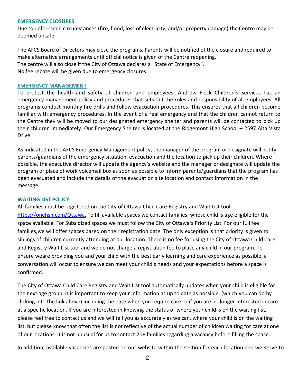#### **EMERGENCY CLOSURES**

Due to unforeseen circumstances (fire, flood, loss of electricity, and/or property damage) the Centre may be deemed unsafe.

The AFCS Board of Directors may close the programs. Parents will be notified of the closure and required to make alternative arrangements until official notice is given of the Centre reopening. The centre will also close if the City of Ottawa declares a "State of Emergency". No fee rebate will be given due to emergency closures.

#### **EMERGENCY MANAGEMENT**

To protect the health and safety of children and employees, Andrew Fleck Children's Services has an emergency management policy and procedures that sets out the roles and responsibility of all employees. All programs conduct monthly fire drills and follow evacuation procedures. This ensures that all children become familiar with emergency procedures. In the event of a real emergency and that the children cannot return to the Centre they will be moved to our designated emergency shelter and parents will be contacted to pick up their children immediately. Our Emergency Shelter is located at the Ridgemont High School – 2597 Alta Vista Drive.

As indicated in the AFCS Emergency Management policy, the manager of the program or designate will notify parents/guardians of the emergency situation, evacuation and the location to pick up their children. Where possible, the executive director will update the agency's website and the manager or designate will update the program or place of work voicemail box as soon as possible to inform parents/guardians that the program has been evacuated and include the details of the evacuation site location and contact information in the message.

#### **WAITING LIST POLICY**

All families must be registered on the City of Ottawa Child Care Registry and Wait List tool. https://onehsn.com/Ottawa. To fill available spaces we contact families, whose child is age eligible for the space available. For Subsidized spaces we must follow the City of Ottawa's Priority List. For our full fee families,we will offer spaces based on their registration date. The only exception is that priority is given to siblings of children currently attending at our location. There is no fee for using the City of Ottawa Child Care and Registry Wait List tool and we do not charge a registration fee to place any child in our program. To ensure weare providing you and your child with the best early learning and care experience as possible, a conversation will occur to ensure we can meet your child's needs and your expectations before a space is confirmed.

The City of Ottawa Child Care Registry and Wait List tool automatically updates when your child is eligible for the next age group, it is important to keep your information as up to date as possible, (which you can do by clicking into the link above) including the date when you require care or if you are no longer interested in care at a specific location. If you are interested in knowing the status of where your child is on the waiting list, please feel free to contact us and we will tell you as accurately as we can, where your child is on the waiting list, but please know that often the list is not reflective of the actual number of children waiting for care at one of our locations. It is not unusual for us to contact 20+ families regarding a vacancy before filling the space.

In addition, available vacancies are posted on our website within the section for each location and we strive to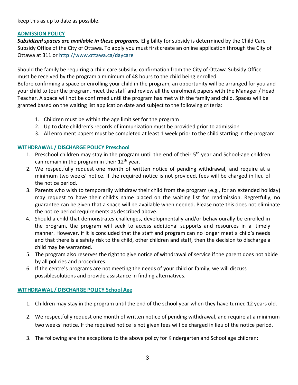keep this as up to date as possible.

#### **ADMISSION POLICY**

*Subsidized spaces are available in these programs.* Eligibility for subsidy is determined by the Child Care Subsidy Office of the City of Ottawa. To apply you must first create an online application through the City of Ottawa at 311 or <http://www.ottawa.ca/daycare>

Should the family be requiring a child care subsidy, confirmation from the City of Ottawa Subsidy Office must be received by the program a minimum of 48 hours to the child being enrolled.

Before confirming a space or enrolling your child in the program, an opportunity will be arranged for you and your child to tour the program, meet the staff and review all the enrolment papers with the Manager / Head Teacher. A space will not be confirmed until the program has met with the family and child. Spaces will be granted based on the waiting list application date and subject to the following criteria:

- 1. Children must be within the age limit set for the program
- 2. Up to date children's records of immunization must be provided prior to admission
- 3. All enrolment papers must be completed at least 1 week prior to the child starting in the program

# **WITHDRAWAL / DISCHARGE POLICY Preschool**

- 1. Preschool children may stay in the program until the end of their  $5<sup>th</sup>$  year and School-age children can remain in the program in their  $12<sup>th</sup>$  year.
- 2. We respectfully request one month of written notice of pending withdrawal, and require at a minimum two weeks' notice. If the required notice is not provided, fees will be charged in lieu of the notice period.
- 3. Parents who wish to temporarily withdraw their child from the program (e.g., for an extended holiday) may request to have their child's name placed on the waiting list for readmission. Regretfully, no guarantee can be given that a space will be available when needed. Please note this does not eliminate the notice period requirements as described above.
- 4. Should a child that demonstrates challenges, developmentally and/or behaviourally be enrolled in the program, the program will seek to access additional supports and resources in a timely manner. However, if it is concluded that the staff and program can no longer meet a child's needs and that there is a safety risk to the child, other children and staff, then the decision to discharge a child may be warranted.
- 5. The program also reserves the right to give notice of withdrawal of service if the parent does not abide by all policies and procedures.
- 6. If the centre's programs are not meeting the needs of your child or family, we will discuss possiblesolutions and provide assistance in finding alternatives.

# **WITHDRAWAL / DISCHARGE POLICY School Age**

- 1. Children may stay in the program until the end of the school year when they have turned 12 years old.
- 2. We respectfully request one month of written notice of pending withdrawal, and require at a minimum two weeks' notice. If the required notice is not given fees will be charged in lieu of the notice period.
- 3. The following are the exceptions to the above policy for Kindergarten and School age children: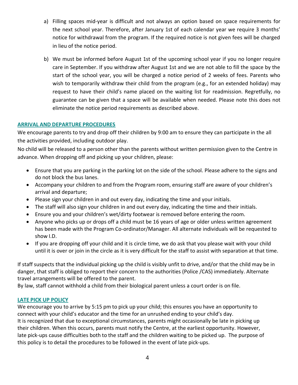- a) Filling spaces mid-year is difficult and not always an option based on space requirements for the next school year. Therefore, after January 1st of each calendar year we require 3 months' notice for withdrawal from the program. If the required notice is not given fees will be charged in lieu of the notice period.
- b) We must be informed before August 1st of the upcoming school year if you no longer require care in September. If you withdraw after August 1st and we are not able to fill the space by the start of the school year, you will be charged a notice period of 2 weeks of fees. Parents who wish to temporarily withdraw their child from the program (e.g., for an extended holiday) may request to have their child's name placed on the waiting list for readmission. Regretfully, no guarantee can be given that a space will be available when needed. Please note this does not eliminate the notice period requirements as described above.

# **ARRIVAL AND DEPARTURE PROCEDURES**

We encourage parents to try and drop off their children by 9:00 am to ensure they can participate in the all the activities provided, including outdoor play.

No child will be released to a person other than the parents without written permission given to the Centre in advance. When dropping off and picking up your children, please:

- Ensure that you are parking in the parking lot on the side of the school. Please adhere to the signs and do not block the bus lanes.
- Accompany your children to and from the Program room, ensuring staff are aware of your children's arrival and departure;
- Please sign your children in and out every day, indicating the time and your initials.
- The staff will also sign your children in and out every day, indicating the time and their initials.
- Ensure you and your children's wet/dirty footwear is removed before entering the room.
- Anyone who picks up or drops off a child must be 16 years of age or older unless written agreement has been made with the Program Co-ordinator/Manager. All alternate individuals will be requested to show I.D.
- If you are dropping off your child and it is circle time, we do ask that you please wait with your child until it is over or join in the circle as it is very difficult for the staff to assist with separation at that time.

If staff suspects that the individual picking up the child is visibly unfit to drive, and/or that the child may be in danger, that staff is obliged to report their concern to the authorities (Police /CAS) immediately. Alternate travel arrangements will be offered to the parent.

By law, staff cannot withhold a child from their biological parent unless a court order is on file.

# **LATE PICK UP POLICY**

We encourage you to arrive by 5:15 pm to pick up your child; this ensures you have an opportunity to connect with your child's educator and the time for an unrushed ending to your child's day. It is recognized that due to exceptional circumstances, parents might occasionally be late in picking up their children. When this occurs, parents must notify the Centre, at the earliest opportunity. However, late pick-ups cause difficulties both to the staff and the children waiting to be picked up. The purpose of this policy is to detail the procedures to be followed in the event of late pick-ups.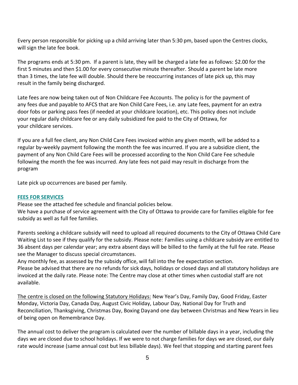Every person responsible for picking up a child arriving later than 5:30 pm, based upon the Centres clocks, will sign the late fee book.

The programs ends at 5:30 pm. If a parent is late, they will be charged a late fee as follows: \$2.00 for the first 5 minutes and then \$1.00 for every consecutive minute thereafter. Should a parent be late more than 3 times, the late fee will double. Should there be reoccurring instances of late pick up, this may result in the family being discharged.

Late fees are now being taken out of Non Childcare Fee Accounts. The policy is for the payment of any fees due and payable to AFCS that are Non Child Care Fees, i.e. any Late fees, payment for an extra door fobs or parking pass fees (if needed at your childcare location), etc. This policy does not include your regular daily childcare fee or any daily subsidized fee paid to the City of Ottawa, for your childcare services.

If you are a full fee client, any Non Child Care Fees invoiced within any given month, will be added to a regular by-weekly payment following the month the fee was incurred. If you are a subsidize client, the payment of any Non Child Care Fees will be processed according to the Non Child Care Fee schedule following the month the fee was incurred. Any late fees not paid may result in discharge from the program

Late pick up occurrences are based per family.

#### **FEES FOR SERVICES**

Please see the attached fee schedule and financial policies below.

We have a purchase of service agreement with the City of Ottawa to provide care for families eligible for fee subsidy as well as full fee families.

Parents seeking a childcare subsidy will need to upload all required documents to the City of Ottawa Child Care Waiting List to see if they qualify for the subsidy. Please note: Families using a childcare subsidy are entitled to 36 absent days per calendar year; any extra absent days will be billed to the family at the full fee rate. Please see the Manager to discuss special circumstances.

Any monthly fee, as assessed by the subsidy office, will fall into the fee expectation section.

Please be advised that there are no refunds for sick days, holidays or closed days and all statutory holidays are invoiced at the daily rate. Please note: The Centre may close at other times when custodial staff are not available.

The centre is closed on the following Statutory Holidays: New Year's Day, Family Day, Good Friday, Easter Monday, Victoria Day, Canada Day, August Civic Holiday, Labour Day, National Day for Truth and Reconciliation, Thanksgiving, Christmas Day, Boxing Dayand one day between Christmas and New Years in lieu of being open on Remembrance Day.

The annual cost to deliver the program is calculated over the number of billable days in a year, including the days we are closed due to school holidays. If we were to not charge families for days we are closed, our daily rate would increase (same annual cost but less billable days). We feel that stopping and starting parent fees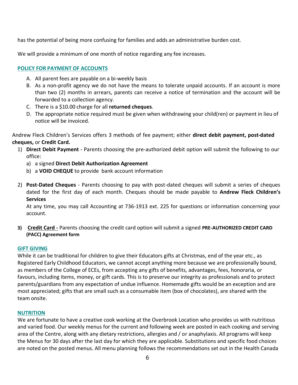has the potential of being more confusing for families and adds an administrative burden cost.

We will provide a minimum of one month of notice regarding any fee increases.

# **POLICY FOR PAYMENT OF ACCOUNTS**

- A. All parent fees are payable on a bi-weekly basis
- B. As a non-profit agency we do not have the means to tolerate unpaid accounts. If an account is more than two (2) months in arrears, parents can receive a notice of termination and the account will be forwarded to a collection agency.
- C. There is a \$10.00 charge for all **returned cheques**.
- D. The appropriate notice required must be given when withdrawing your child(ren) or payment in lieu of notice will be invoiced.

Andrew Fleck Children's Services offers 3 methods of fee payment; either **direct debit payment, post-dated cheques,** or **Credit Card.**

- 1) **Direct Debit Payment** Parents choosing the pre-authorized debit option will submit the following to our office:
	- a) a signed **Direct Debit Authorization Agreement**
	- b) a **VOID CHEQUE** to provide bank account information
- 2) **Post-Dated Cheques**  Parents choosing to pay with post-dated cheques will submit a series of cheques dated for the first day of each month. Cheques should be made payable to **Andrew Fleck Children's Services**

At any time, you may call Accounting at 736-1913 ext. 225 for questions or information concerning your account.

**3) Credit Card -** Parents choosing the credit card option will submit a signed **PRE-AUTHORIZED CREDIT CARD (PACC) Agreement form**

#### **GIFT GIVING**

While it can be traditional for children to give their Educators gifts at Christmas, end of the year etc., as Registered Early Childhood Educators, we cannot accept anything more because we are professionally bound, as members of the College of ECEs, from accepting any gifts of benefits, advantages, fees, honoraria, or favours, including items, money, or gift cards. This is to preserve our integrity as professionals and to protect parents/guardians from any expectation of undue influence. Homemade gifts would be an exception and are most appreciated; gifts that are small such as a consumable item (box of chocolates), are shared with the team onsite.

#### **NUTRITION**

We are fortunate to have a creative cook working at the Overbrook Location who provides us with nutritious and varied food. Our weekly menus for the current and following week are posted in each cooking and serving area of the Centre, along with any dietary restrictions, allergies and / or anaphylaxis. All programs will keep the Menus for 30 days after the last day for which they are applicable. Substitutions and specific food choices are noted on the posted menus. All menu planning follows the recommendations set out in the Health Canada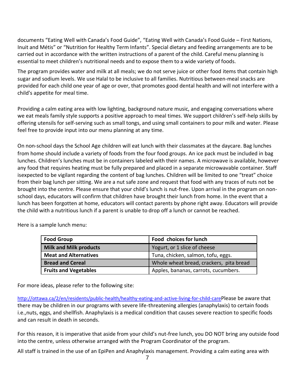documents "Eating Well with Canada's Food Guide", "Eating Well with Canada's Food Guide – First Nations, Inuit and Métis" or "Nutrition for Healthy Term Infants". Special dietary and feeding arrangements are to be carried out in accordance with the written instructions of a parent of the child. Careful menu planning is essential to meet children's nutritional needs and to expose them to a wide variety of foods.

The program provides water and milk at all meals; we do not serve juice or other food items that contain high sugar and sodium levels. We use Halal to be inclusive to all families. Nutritious between-meal snacks are provided for each child one year of age or over, that promotes good dental health and will not interfere with a child's appetite for meal time.

Providing a calm eating area with low lighting, background nature music, and engaging conversations where we eat meals family style supports a positive approach to meal times. We support children's self-help skills by offering utensils for self-serving such as small tongs, and using small containers to pour milk and water. Please feel free to provide input into our menu planning at any time.

On non-school days the School Age children will eat lunch with their classmates at the daycare. Bag lunches from home should include a variety of foods from the four food groups. An ice pack must be included in bag lunches. Children's lunches must be in containers labeled with their names. A microwave is available, however any food that requires heating must be fully prepared and placed in a separate microwavable container. Staff isexpected to be vigilant regarding the content of bag lunches. Children will be limited to one "treat" choice from their bag lunch per sitting. We are a nut safe zone and request that food with any traces of nuts not be brought into the centre. Please ensure that your child's lunch is nut-free. Upon arrival in the program on nonschool days, educators will confirm that children have brought their lunch from home. In the event that a lunch has been forgotten at home, educators will contact parents by phone right away. Educators will provide the child with a nutritious lunch if a parent is unable to drop off a lunch or cannot be reached.

| <b>Food Group</b>             | Food choices for lunch                  |
|-------------------------------|-----------------------------------------|
| <b>Milk and Milk products</b> | Yogurt, or 1 slice of cheese            |
| <b>Meat and Alternatives</b>  | Tuna, chicken, salmon, tofu, eggs.      |
| <b>Bread and Cereal</b>       | Whole wheat bread, crackers, pita bread |
| <b>Fruits and Vegetables</b>  | Apples, bananas, carrots, cucumbers.    |

Here is a sample lunch menu:

For more ideas, please refer to the following site:

[http://ottawa.ca/2/en/residents/public-health/healthy-eating-and-active-living-for-child-care](http://ottawa.ca/2/en/residents/public-health/healthy-eating-and-active-living-for-child-carePlease)[Please b](http://ottawa.ca/2/en/residents/public-health/healthy-eating-and-active-living-for-child-carePlease)e aware that there may be children in our programs with severe life-threatening allergies (anaphylaxis) to certain foods i.e.,nuts, eggs, and shellfish. Anaphylaxis is a medical condition that causes severe reaction to specific foods and can result in death in seconds.

For this reason, it is imperative that aside from your child's nut-free lunch, you DO NOT bring any outside food into the centre, unless otherwise arranged with the Program Coordinator of the program.

All staff is trained in the use of an EpiPen and Anaphylaxis management. Providing a calm eating area with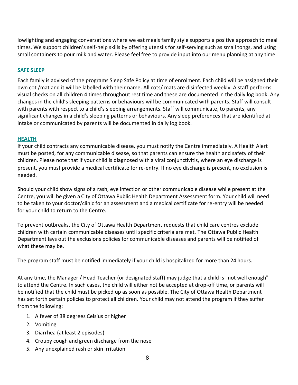lowlighting and engaging conversations where we eat meals family style supports a positive approach to meal times. We support children's self-help skills by offering utensils for self-serving such as small tongs, and using small containers to pour milk and water. Please feel free to provide input into our menu planning at any time.

#### **SAFE SLEEP**

Each family is advised of the programs Sleep Safe Policy at time of enrolment. Each child will be assigned their own cot /mat and it will be labelled with their name. All cots/ mats are disinfected weekly. A staff performs visual checks on all children 4 times throughout rest time and these are documented in the daily log book. Any changes in the child's sleeping patterns or behaviours will be communicated with parents. Staff will consult with parents with respect to a child's sleeping arrangements. Staff will communicate, to parents, any significant changes in a child's sleeping patterns or behaviours. Any sleep preferences that are identified at intake or communicated by parents will be documented in daily log book.

#### **HEALTH**

If your child contracts any communicable disease, you must notify the Centre immediately. A Health Alert must be posted, for any communicable disease, so that parents can ensure the health and safety of their children. Please note that if your child is diagnosed with a viral conjunctivitis, where an eye discharge is present, you must provide a medical certificate for re-entry. If no eye discharge is present, no exclusion is needed.

Should your child show signs of a rash, eye infection or other communicable disease while present at the Centre, you will be given a City of Ottawa Public Health Department Assessment form. Your child will need to be taken to your doctor/clinic for an assessment and a medical certificate for re-entry will be needed for your child to return to the Centre.

To prevent outbreaks, the City of Ottawa Health Department requests that child care centres exclude children with certain communicable diseases until specific criteria are met. The Ottawa Public Health Department lays out the exclusions policies for communicable diseases and parents will be notified of what these may be.

The program staff must be notified immediately if your child is hospitalized for more than 24 hours.

At any time, the Manager / Head Teacher (or designated staff) may judge that a child is "not well enough" to attend the Centre. In such cases, the child will either not be accepted at drop-off time, or parents will be notified that the child must be picked up as soon as possible. The City of Ottawa Health Department has set forth certain policies to protect all children. Your child may not attend the program if they suffer from the following:

- 1. A fever of 38 degrees Celsius or higher
- 2. Vomiting
- 3. Diarrhea (at least 2 episodes)
- 4. Croupy cough and green discharge from the nose
- 5. Any unexplained rash or skin irritation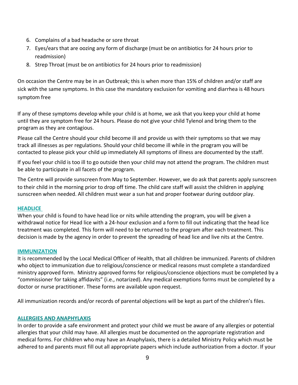- 6. Complains of a bad headache or sore throat
- 7. Eyes/ears that are oozing any form of discharge (must be on antibiotics for 24 hours prior to readmission)
- 8. Strep Throat (must be on antibiotics for 24 hours prior to readmission)

On occasion the Centre may be in an Outbreak; this is when more than 15% of children and/or staff are sick with the same symptoms. In this case the mandatory exclusion for vomiting and diarrhea is 48 hours symptom free

If any of these symptoms develop while your child is at home, we ask that you keep your child at home until they are symptom free for 24 hours. Please do not give your child Tylenol and bring them to the program as they are contagious.

Please call the Centre should your child become ill and provide us with their symptoms so that we may track all illnesses as per regulations. Should your child become ill while in the program you will be contacted to please pick your child up immediately All symptoms of illness are documented by the staff.

If you feel your child is too ill to go outside then your child may not attend the program. The children must be able to participate in all facets of the program.

The Centre will provide sunscreen from May to September. However, we do ask that parents apply sunscreen to their child in the morning prior to drop off time. The child care staff will assist the children in applying sunscreen when needed. All children must wear a sun hat and proper footwear during outdoor play.

#### **HEADLICE**

When your child is found to have head lice or nits while attending the program, you will be given a withdrawal notice for Head lice with a 24-hour exclusion and a form to fill out indicating that the head lice treatment was completed. This form will need to be returned to the program after each treatment. This decision is made by the agency in order to prevent the spreading of head lice and live nits at the Centre.

#### **IMMUNIZATION**

It is recommended by the Local Medical Officer of Health, that all children be immunized. Parents of children who object to immunization due to religious/conscience or medical reasons must complete a standardized ministry approved form. Ministry approved forms for religious/conscience objections must be completed by a "commissioner for taking affidavits" (i.e., notarized). Any medical exemptions forms must be completed by a doctor or nurse practitioner. These forms are available upon request.

All immunization records and/or records of parental objections will be kept as part of the children's files.

#### **ALLERGIES AND ANAPHYLAXIS**

In order to provide a safe environment and protect your child we must be aware of any allergies or potential allergies that your child may have. All allergies must be documented on the appropriate registration and medical forms. For children who may have an Anaphylaxis, there is a detailed Ministry Policy which must be adhered to and parents must fill out all appropriate papers which include authorization from a doctor. If your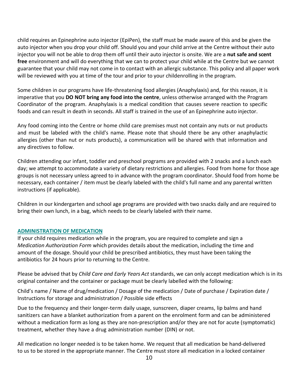child requires an Epinephrine auto injector (EpiPen), the staff must be made aware of this and be given the auto injector when you drop your child off. Should you and your child arrive at the Centre without their auto injector you will not be able to drop them off until their auto injector is onsite. We are a **nut safe and scent free** environment and will do everything that we can to protect your child while at the Centre but we cannot guarantee that your child may not come in to contact with an allergic substance. This policy and all paper work will be reviewed with you at time of the tour and prior to your childenrolling in the program.

Some children in our programs have life-threatening food allergies (Anaphylaxis) and, for this reason, it is imperative that you **DO NOT bring any food into the centre**, unless otherwise arranged with the Program Coordinator of the program. Anaphylaxis is a medical condition that causes severe reaction to specific foods and can result in death in seconds. All staff is trained in the use of an Epinephrine auto injector.

Any food coming into the Centre or home child care premises must not contain any nuts or nut products and must be labeled with the child's name. Please note that should there be any other anaphylactic allergies (other than nut or nuts products), a communication will be shared with that information and any directives to follow.

Children attending our infant, toddler and preschool programs are provided with 2 snacks and a lunch each day; we attempt to accommodate a variety of dietary restrictions and allergies. Food from home for those age groups is not necessary unless agreed to in advance with the program coordinator. Should food from home be necessary, each container / item must be clearly labeled with the child's full name and any parental written instructions (if applicable).

Children in our kindergarten and school age programs are provided with two snacks daily and are required to bring their own lunch, in a bag, which needs to be clearly labeled with their name.

#### **ADMINISTRATION OF MEDICATION**

If your child requires medication while in the program, you are required to complete and sign a *Medication Authorization Form* which provides details about the medication, including the time and amount of the dosage. Should your child be prescribed antibiotics, they must have been taking the antibiotics for 24 hours prior to returning to the Centre.

Please be advised that by *Child Care and Early Years Act* standards, we can only accept medication which is in its original container and the container or package must be clearly labelled with the following:

Child's name / Name of drug/medication / Dosage of the medication / Date of purchase / Expiration date / Instructions for storage and administration / Possible side effects

Due to the frequency and their longer-term daily usage, sunscreen, diaper creams, lip balms and hand sanitizers can have a blanket authorization from a parent on the enrolment form and can be administered without a medication form as long as they are non-prescription and/or they are not for acute (symptomatic) treatment, whether they have a drug administration number (DIN) or not.

All medication no longer needed is to be taken home. We request that all medication be hand-delivered to us to be stored in the appropriate manner. The Centre must store all medication in a locked container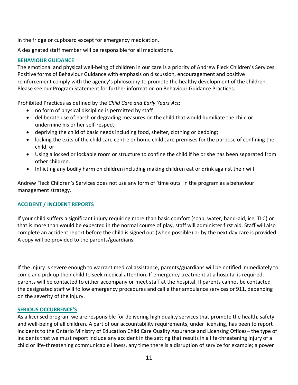in the fridge or cupboard except for emergency medication.

A designated staff member will be responsible for all medications.

# **BEHAVIOUR GUIDANCE**

The emotional and physical well-being of children in our care is a priority of Andrew Fleck Children's Services. Positive forms of Behaviour Guidance with emphasis on discussion, encouragement and positive reinforcement comply with the agency's philosophy to promote the healthy development of the children. Please see our Program Statement for further information on Behaviour Guidance Practices.

Prohibited Practices as defined by the *Child Care and Early Years Act*:

- no form of physical discipline is permitted by staff
- deliberate use of harsh or degrading measures on the child that would humiliate the child or undermine his or her self-respect;
- depriving the child of basic needs including food, shelter, clothing or bedding;
- locking the exits of the child care centre or home child care premises for the purpose of confining the child; or
- Using a locked or lockable room or structure to confine the child if he or she has been separated from other children.
- Inflicting any bodily harm on children including making children eat or drink against their will

Andrew Fleck Children's Services does not use any form of 'time outs' in the program as a behaviour management strategy.

# **ACCIDENT / INCIDENT REPORTS**

If your child suffers a significant injury requiring more than basic comfort (soap, water, band-aid, ice, TLC) or that is more than would be expected in the normal course of play, staff will administer first aid. Staff will also complete an accident report before the child is signed out (when possible) or by the next day care is provided. A copy will be provided to the parents/guardians.

If the injury is severe enough to warrant medical assistance, parents/guardians will be notified immediately to come and pick up their child to seek medical attention. If emergency treatment at a hospital is required, parents will be contacted to either accompany or meet staff at the hospital. If parents cannot be contacted the designated staff will follow emergency procedures and call either ambulance services or 911, depending on the severity of the injury.

# **SERIOUS OCCURRENCE'S**

As a licensed program we are responsible for delivering high quality services that promote the health, safety and well-being of all children. A part of our accountability requirements, under licensing, has been to report incidents to the Ontario Ministry of Education Child Care Quality Assurance and Licensing Offices– the type of incidents that we must report include any accident in the setting that results in a life-threatening injury of a child or life-threatening communicable illness, any time there is a disruption of service for example; a power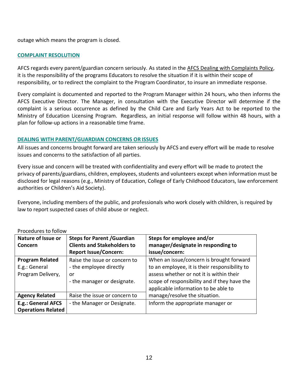outage which means the program is closed.

# **COMPLAINT RESOLUTION**

AFCS regards every parent/guardian concern seriously. As stated in the AFCS Dealing with Complaints Policy, it is the responsibility of the programs Educators to resolve the situation if it is within their scope of responsibility, or to redirect the complaint to the Program Coordinator, to insure an immediate response.

Every complaint is documented and reported to the Program Manager within 24 hours, who then informs the AFCS Executive Director. The Manager, in consultation with the Executive Director will determine if the complaint is a serious occurrence as defined by the Child Care and Early Years Act to be reported to the Ministry of Education Licensing Program. Regardless, an initial response will follow within 48 hours, with a plan for follow-up actions in a reasonable time frame.

# **DEALING WITH PARENT/GUARDIAN CONCERNS OR ISSUES**

All issues and concerns brought forward are taken seriously by AFCS and every effort will be made to resolve issues and concerns to the satisfaction of all parties.

Every issue and concern will be treated with confidentiality and every effort will be made to protect the privacy of parents/guardians, children, employees, students and volunteers except when information must be disclosed for legal reasons (e.g., Ministry of Education, College of Early Childhood Educators, law enforcement authorities or Children's Aid Society).

Everyone, including members of the public, and professionals who work closely with children, is required by law to report suspected cases of child abuse or neglect.

| Nature of Issue or<br>Concern                                | <b>Steps for Parent / Guardian</b><br><b>Clients and Stakeholders to</b><br><b>Report Issue/Concern:</b> | Steps for employee and/or<br>manager/designate in responding to<br>issue/concern:                                                                                                                                             |
|--------------------------------------------------------------|----------------------------------------------------------------------------------------------------------|-------------------------------------------------------------------------------------------------------------------------------------------------------------------------------------------------------------------------------|
| <b>Program Related</b><br>E.g.: General<br>Program Delivery, | Raise the issue or concern to<br>- the employee directly<br>or<br>- the manager or designate.            | When an issue/concern is brought forward<br>to an employee, it is their responsibility to<br>assess whether or not it is within their<br>scope of responsibility and if they have the<br>applicable information to be able to |
| <b>Agency Related</b>                                        | Raise the issue or concern to                                                                            | manage/resolve the situation.                                                                                                                                                                                                 |
| E.g.: General AFCS<br><b>Operations Related</b>              | - the Manager or Designate.                                                                              | Inform the appropriate manager or                                                                                                                                                                                             |

# Procedures to follow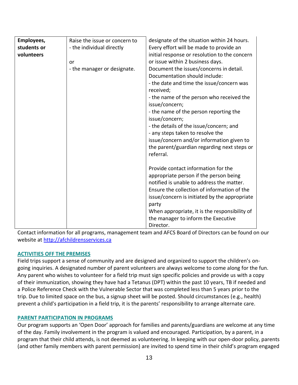| Employees,                | Raise the issue or concern to                                         | designate of the situation within 24 hours.                                                                                                                                                                                                                                                                                                                                                                                                                                                                                                                                           |
|---------------------------|-----------------------------------------------------------------------|---------------------------------------------------------------------------------------------------------------------------------------------------------------------------------------------------------------------------------------------------------------------------------------------------------------------------------------------------------------------------------------------------------------------------------------------------------------------------------------------------------------------------------------------------------------------------------------|
| students or<br>volunteers | - the individual directly<br><b>or</b><br>- the manager or designate. | Every effort will be made to provide an<br>initial response or resolution to the concern<br>or issue within 2 business days.<br>Document the issues/concerns in detail.<br>Documentation should include:<br>- the date and time the issue/concern was<br>received;<br>- the name of the person who received the<br>issue/concern;<br>- the name of the person reporting the<br>issue/concern;<br>- the details of the issue/concern; and<br>- any steps taken to resolve the<br>issue/concern and/or information given to<br>the parent/guardian regarding next steps or<br>referral. |
|                           |                                                                       | Provide contact information for the<br>appropriate person if the person being<br>notified is unable to address the matter.<br>Ensure the collection of information of the<br>issue/concern is initiated by the appropriate<br>party<br>When appropriate, it is the responsibility of<br>the manager to inform the Executive<br>Director.                                                                                                                                                                                                                                              |

Contact information for all programs, management team and AFCS Board of Directors can be found on our website at [http://afchildrensservices.ca](http://afchildrensservices.ca/)

# **ACTIVITIES OFF THE PREMISES**

Field trips support a sense of community and are designed and organized to support the children's ongoing inquiries. A designated number of parent volunteers are always welcome to come along for the fun. Any parent who wishes to volunteer for a field trip must sign specific policies and provide us with a copy of their immunization, showing they have had a Tetanus (DPT) within the past 10 years, TB if needed and a Police Reference Check with the Vulnerable Sector that was completed less than 5 years prior to the trip. Due to limited space on the bus, a signup sheet will be posted. Should circumstances (e.g., health) prevent a child's participation in a field trip, it is the parents' responsibility to arrange alternate care.

# **PARENT PARTICIPATION IN PROGRAMS**

Our program supports an 'Open Door' approach for families and parents/guardians are welcome at any time of the day. Family involvement in the program is valued and encouraged. Participation, by a parent, in a program that their child attends, is not deemed as volunteering. In keeping with our open-door policy, parents (and other family members with parent permission) are invited to spend time in their child's program engaged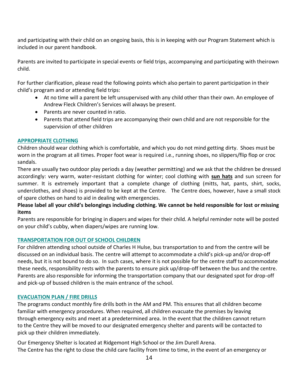and participating with their child on an ongoing basis, this is in keeping with our Program Statement which is included in our parent handbook.

Parents are invited to participate in special events or field trips, accompanying and participating with theirown child.

For further clarification, please read the following points which also pertain to parent participation in their child's program and or attending field trips:

- At no time will a parent be left unsupervised with any child other than their own. An employee of Andrew Fleck Children's Services will always be present.
- Parents are never counted in ratio.
- Parents that attend field trips are accompanying their own child and are not responsible for the supervision of other children

#### **APPROPRIATE CLOTHING**

Children should wear clothing which is comfortable, and which you do not mind getting dirty. Shoes must be worn in the program at all times. Proper foot wear is required i.e., running shoes, no slippers/flip flop or croc sandals.

There are usually two outdoor play periods a day (weather permitting) and we ask that the children be dressed accordingly: very warm, water-resistant clothing for winter; cool clothing with **sun hats** and sun screen for summer. It is extremely important that a complete change of clothing (mitts, hat, pants, shirt, socks, underclothes, and shoes) is provided to be kept at the Centre. The Centre does, however, have a small stock of spare clothes on hand to aid in dealing with emergencies.

# Please label all your child's belongings including clothing. We cannot be held responsible for lost or missing **items**

Parents are responsible for bringing in diapers and wipes for their child. A helpful reminder note will be posted on your child's cubby, when diapers/wipes are running low.

#### **TRANSPORTATION FOR OUT OF SCHOOL CHILDREN**

For children attending school outside of Charles H Hulse, bus transportation to and from the centre will be discussed on an individual basis. The centre will attempt to accommodate a child's pick-up and/or drop-off needs, but it is not bound to do so. In such cases, where it is not possible for the centre staff to accommodate these needs, responsibility rests with the parents to ensure pick up/drop-off between the bus and the centre. Parents are also responsible for informing the transportation company that our designated spot for drop-off and pick-up of bussed children is the main entrance of the school.

# **EVACUATION PLAN / FIRE DRILLS**

The programs conduct monthly fire drills both in the AM and PM. This ensures that all children become familiar with emergency procedures. When required, all children evacuate the premises by leaving through emergency exits and meet at a predetermined area. In the event that the children cannot return to the Centre they will be moved to our designated emergency shelter and parents will be contacted to pick up their children immediately.

Our Emergency Shelter is located at Ridgemont High School or the Jim Durell Arena. The Centre has the right to close the child care facility from time to time, in the event of an emergency or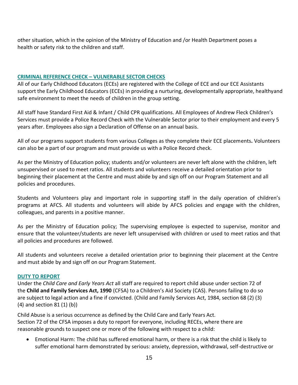other situation, which in the opinion of the Ministry of Education and /or Health Department poses a health or safety risk to the children and staff.

#### **CRIMINAL REFERENCE CHECK – VULNERABLE SECTOR CHECKS**

All of our Early Childhood Educators (ECEs) are registered with the College of ECE and our ECE Assistants support the Early Childhood Educators (ECEs) in providing a nurturing, developmentally appropriate, healthyand safe environment to meet the needs of children in the group setting.

All staff have Standard First Aid & Infant / Child CPR qualifications. All Employees of Andrew Fleck Children's Services must provide a Police Record Check with the Vulnerable Sector prior to their employment and every 5 years after. Employees also sign a Declaration of Offense on an annual basis.

All of our programs support students from various Colleges as they complete their ECE placements**.** Volunteers can also be a part of our program and must provide us with a Police Record check.

As per the Ministry of Education policy; students and/or volunteers are never left alone with the children, left unsupervised or used to meet ratios. All students and volunteers receive a detailed orientation prior to beginning their placement at the Centre and must abide by and sign off on our Program Statement and all policies and procedures.

Students and Volunteers play and important role in supporting staff in the daily operation of children's programs at AFCS. All students and volunteers will abide by AFCS policies and engage with the children, colleagues, and parents in a positive manner.

As per the Ministry of Education policy; The supervising employee is expected to supervise, monitor and ensure that the volunteer/students are never left unsupervised with children or used to meet ratios and that all policies and procedures are followed.

All students and volunteers receive a detailed orientation prior to beginning their placement at the Centre and must abide by and sign off on our Program Statement.

#### **DUTY TO REPORT**

Under the *Child Care and Early Years Act* all staff are required to report child abuse under section 72 of the **Child and Family Services Act, 1990** (CFSA) to a Children's Aid Society (CAS). Persons failing to do so are subject to legal action and a fine if convicted. (Child and Family Services Act, 1984, section 68 (2) (3) (4) and section 81 (1) (b))

Child Abuse is a serious occurrence as defined by the Child Care and Early Years Act. Section 72 of the CFSA imposes a duty to report for everyone, including RECEs, where there are reasonable grounds to suspect one or more of the following with respect to a child:

• Emotional Harm: The child has suffered emotional harm, or there is a risk that the child is likely to suffer emotional harm demonstrated by serious: anxiety, depression, withdrawal, self-destructive or